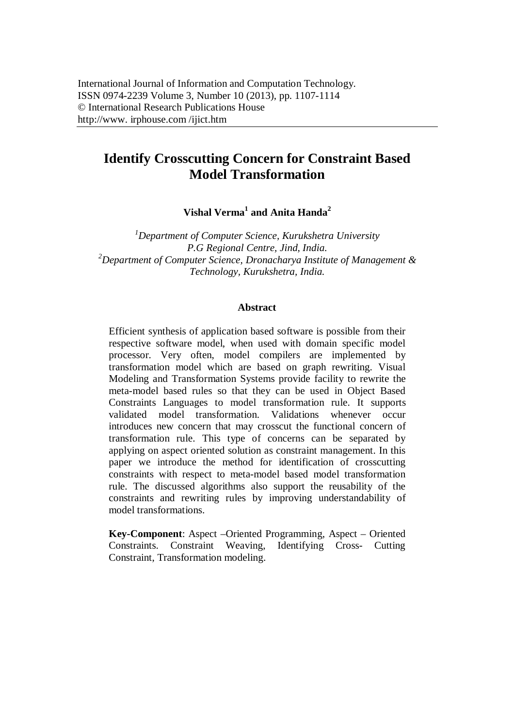# **Identify Crosscutting Concern for Constraint Based Model Transformation**

**Vishal Verma<sup>1</sup> and Anita Handa<sup>2</sup>**

*<sup>1</sup>Department of Computer Science, Kurukshetra University P.G Regional Centre, Jind, India. <sup>2</sup>Department of Computer Science, Dronacharya Institute of Management & Technology, Kurukshetra, India.*

#### **Abstract**

Efficient synthesis of application based software is possible from their respective software model, when used with domain specific model processor. Very often, model compilers are implemented by transformation model which are based on graph rewriting. Visual Modeling and Transformation Systems provide facility to rewrite the meta-model based rules so that they can be used in Object Based Constraints Languages to model transformation rule. It supports validated model transformation. Validations whenever occur introduces new concern that may crosscut the functional concern of transformation rule. This type of concerns can be separated by applying on aspect oriented solution as constraint management. In this paper we introduce the method for identification of crosscutting constraints with respect to meta-model based model transformation rule. The discussed algorithms also support the reusability of the constraints and rewriting rules by improving understandability of model transformations.

**Key-Component**: Aspect –Oriented Programming, Aspect – Oriented Constraints. Constraint Weaving, Identifying Cross- Cutting Constraint, Transformation modeling.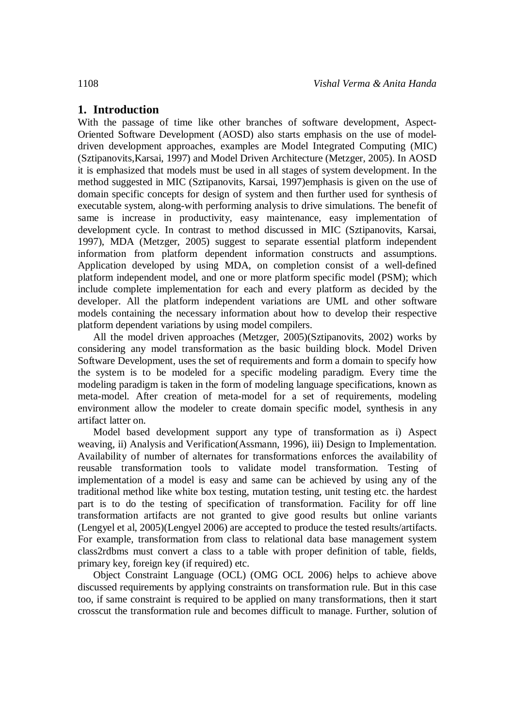# **1. Introduction**

With the passage of time like other branches of software development, Aspect-Oriented Software Development (AOSD) also starts emphasis on the use of modeldriven development approaches, examples are Model Integrated Computing (MIC) (Sztipanovits,Karsai, 1997) and Model Driven Architecture (Metzger, 2005). In AOSD it is emphasized that models must be used in all stages of system development. In the method suggested in MIC (Sztipanovits, Karsai, 1997)emphasis is given on the use of domain specific concepts for design of system and then further used for synthesis of executable system, along-with performing analysis to drive simulations. The benefit of same is increase in productivity, easy maintenance, easy implementation of development cycle. In contrast to method discussed in MIC (Sztipanovits, Karsai, 1997), MDA (Metzger, 2005) suggest to separate essential platform independent information from platform dependent information constructs and assumptions. Application developed by using MDA, on completion consist of a well-defined platform independent model, and one or more platform specific model (PSM); which include complete implementation for each and every platform as decided by the developer. All the platform independent variations are UML and other software models containing the necessary information about how to develop their respective platform dependent variations by using model compilers.

All the model driven approaches (Metzger, 2005)(Sztipanovits, 2002) works by considering any model transformation as the basic building block. Model Driven Software Development, uses the set of requirements and form a domain to specify how the system is to be modeled for a specific modeling paradigm. Every time the modeling paradigm is taken in the form of modeling language specifications, known as meta-model. After creation of meta-model for a set of requirements, modeling environment allow the modeler to create domain specific model, synthesis in any artifact latter on.

Model based development support any type of transformation as i) Aspect weaving, ii) Analysis and Verification(Assmann, 1996), iii) Design to Implementation. Availability of number of alternates for transformations enforces the availability of reusable transformation tools to validate model transformation. Testing of implementation of a model is easy and same can be achieved by using any of the traditional method like white box testing, mutation testing, unit testing etc. the hardest part is to do the testing of specification of transformation. Facility for off line transformation artifacts are not granted to give good results but online variants (Lengyel et al, 2005)(Lengyel 2006) are accepted to produce the tested results/artifacts. For example, transformation from class to relational data base management system class2rdbms must convert a class to a table with proper definition of table, fields, primary key, foreign key (if required) etc.

Object Constraint Language (OCL) (OMG OCL 2006) helps to achieve above discussed requirements by applying constraints on transformation rule. But in this case too, if same constraint is required to be applied on many transformations, then it start crosscut the transformation rule and becomes difficult to manage. Further, solution of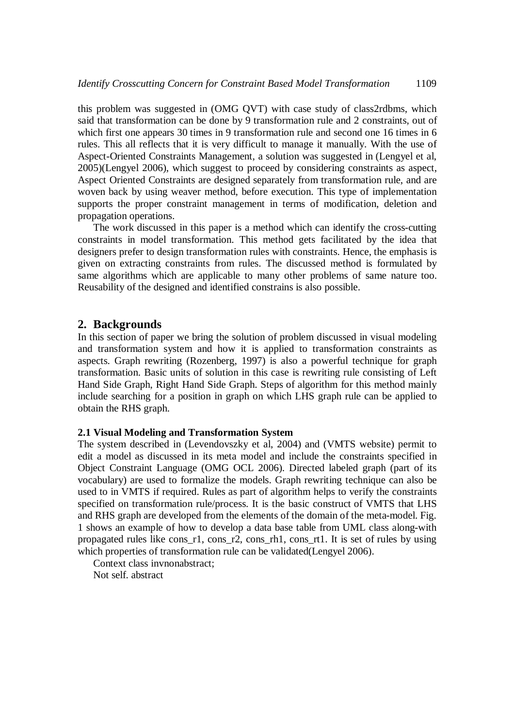this problem was suggested in (OMG QVT) with case study of class2rdbms, which said that transformation can be done by 9 transformation rule and 2 constraints, out of which first one appears 30 times in 9 transformation rule and second one 16 times in 6 rules. This all reflects that it is very difficult to manage it manually. With the use of Aspect-Oriented Constraints Management, a solution was suggested in (Lengyel et al, 2005)(Lengyel 2006), which suggest to proceed by considering constraints as aspect, Aspect Oriented Constraints are designed separately from transformation rule, and are woven back by using weaver method, before execution. This type of implementation supports the proper constraint management in terms of modification, deletion and propagation operations.

The work discussed in this paper is a method which can identify the cross-cutting constraints in model transformation. This method gets facilitated by the idea that designers prefer to design transformation rules with constraints. Hence, the emphasis is given on extracting constraints from rules. The discussed method is formulated by same algorithms which are applicable to many other problems of same nature too. Reusability of the designed and identified constrains is also possible.

## **2. Backgrounds**

In this section of paper we bring the solution of problem discussed in visual modeling and transformation system and how it is applied to transformation constraints as aspects. Graph rewriting (Rozenberg, 1997) is also a powerful technique for graph transformation. Basic units of solution in this case is rewriting rule consisting of Left Hand Side Graph, Right Hand Side Graph. Steps of algorithm for this method mainly include searching for a position in graph on which LHS graph rule can be applied to obtain the RHS graph.

#### **2.1 Visual Modeling and Transformation System**

The system described in (Levendovszky et al, 2004) and (VMTS website) permit to edit a model as discussed in its meta model and include the constraints specified in Object Constraint Language (OMG OCL 2006). Directed labeled graph (part of its vocabulary) are used to formalize the models. Graph rewriting technique can also be used to in VMTS if required. Rules as part of algorithm helps to verify the constraints specified on transformation rule/process. It is the basic construct of VMTS that LHS and RHS graph are developed from the elements of the domain of the meta-model. Fig. 1 shows an example of how to develop a data base table from UML class along-with propagated rules like cons\_r1, cons\_r2, cons\_rh1, cons\_rt1. It is set of rules by using which properties of transformation rule can be validated(Lengyel 2006).

Context class invnonabstract;

Not self. abstract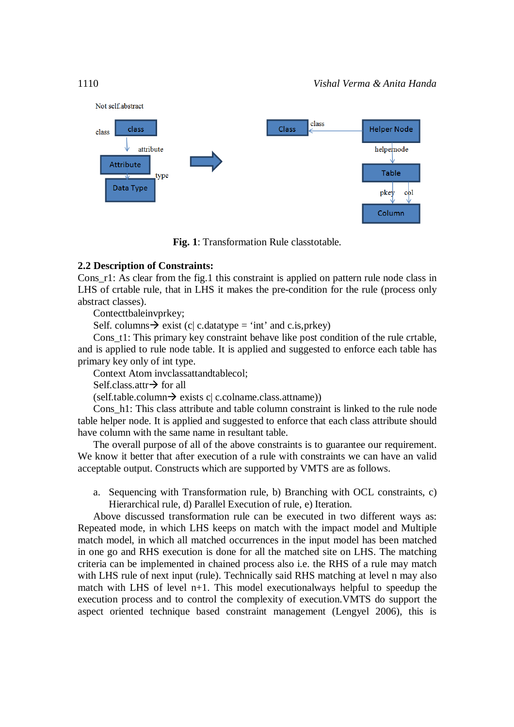

**Fig. 1**: Transformation Rule classtotable.

### **2.2 Description of Constraints:**

Cons\_r1: As clear from the fig.1 this constraint is applied on pattern rule node class in LHS of crtable rule, that in LHS it makes the pre-condition for the rule (process only abstract classes).

Contecttbaleinvprkey;

Self. columns  $\rightarrow$  exist (c| c.datatype = 'int' and c.is, prkey)

Cons\_t1: This primary key constraint behave like post condition of the rule crtable, and is applied to rule node table. It is applied and suggested to enforce each table has primary key only of int type.

Context Atom invclassattandtablecol;

Self.class.attr $\rightarrow$  for all

 $(self.table.column \rightarrow exists c| c.colname.class.$ attname))

Cons\_h1: This class attribute and table column constraint is linked to the rule node table helper node. It is applied and suggested to enforce that each class attribute should have column with the same name in resultant table.

The overall purpose of all of the above constraints is to guarantee our requirement. We know it better that after execution of a rule with constraints we can have an valid acceptable output. Constructs which are supported by VMTS are as follows.

a. Sequencing with Transformation rule, b) Branching with OCL constraints, c) Hierarchical rule, d) Parallel Execution of rule, e) Iteration.

Above discussed transformation rule can be executed in two different ways as: Repeated mode, in which LHS keeps on match with the impact model and Multiple match model, in which all matched occurrences in the input model has been matched in one go and RHS execution is done for all the matched site on LHS. The matching criteria can be implemented in chained process also i.e. the RHS of a rule may match with LHS rule of next input (rule). Technically said RHS matching at level n may also match with LHS of level n+1. This model executionalways helpful to speedup the execution process and to control the complexity of execution.VMTS do support the aspect oriented technique based constraint management (Lengyel 2006), this is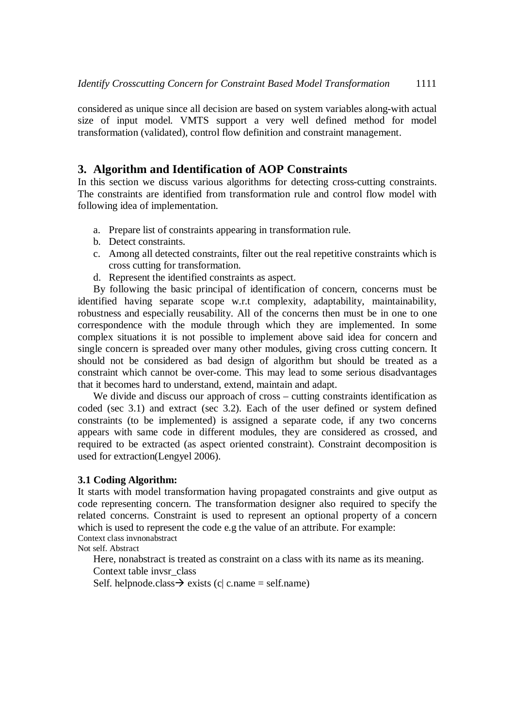considered as unique since all decision are based on system variables along-with actual size of input model. VMTS support a very well defined method for model transformation (validated), control flow definition and constraint management.

# **3. Algorithm and Identification of AOP Constraints**

In this section we discuss various algorithms for detecting cross-cutting constraints. The constraints are identified from transformation rule and control flow model with following idea of implementation.

- a. Prepare list of constraints appearing in transformation rule.
- b. Detect constraints.
- c. Among all detected constraints, filter out the real repetitive constraints which is cross cutting for transformation.
- d. Represent the identified constraints as aspect.

By following the basic principal of identification of concern, concerns must be identified having separate scope w.r.t complexity, adaptability, maintainability, robustness and especially reusability. All of the concerns then must be in one to one correspondence with the module through which they are implemented. In some complex situations it is not possible to implement above said idea for concern and single concern is spreaded over many other modules, giving cross cutting concern. It should not be considered as bad design of algorithm but should be treated as a constraint which cannot be over-come. This may lead to some serious disadvantages that it becomes hard to understand, extend, maintain and adapt.

We divide and discuss our approach of cross – cutting constraints identification as coded (sec 3.1) and extract (sec 3.2). Each of the user defined or system defined constraints (to be implemented) is assigned a separate code, if any two concerns appears with same code in different modules, they are considered as crossed, and required to be extracted (as aspect oriented constraint). Constraint decomposition is used for extraction(Lengyel 2006).

### **3.1 Coding Algorithm:**

It starts with model transformation having propagated constraints and give output as code representing concern. The transformation designer also required to specify the related concerns. Constraint is used to represent an optional property of a concern which is used to represent the code e.g the value of an attribute. For example: Context class invnonabstract

Not self. Abstract

Here, nonabstract is treated as constraint on a class with its name as its meaning. Context table invsr\_class

Self. helpnode.class  $\rightarrow$  exists (c| c.name = self.name)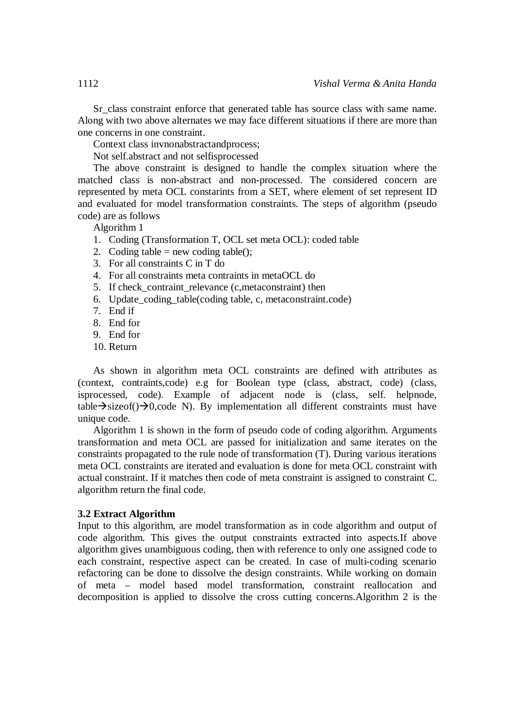Sr class constraint enforce that generated table has source class with same name. Along with two above alternates we may face different situations if there are more than one concerns in one constraint.

Context class invnonabstractandprocess;

Not self.abstract and not selfisprocessed

The above constraint is designed to handle the complex situation where the matched class is non-abstract and non-processed. The considered concern are represented by meta OCL constarints from a SET, where element of set represent ID and evaluated for model transformation constraints. The steps of algorithm (pseudo code) are as follows

Algorithm 1

- 1. Coding (Transformation T, OCL set meta OCL): coded table
- 2. Coding table = new coding table():
- 3. For all constraints C in T do
- 4. For all constraints meta contraints in metaOCL do
- 5. If check contraint relevance (c,metaconstraint) then
- 6. Update\_coding\_table(coding table, c, metaconstraint.code)
- 7. End if
- 8. End for
- 9. End for
- 10. Return

As shown in algorithm meta OCL constraints are defined with attributes as (context, contraints,code) e.g for Boolean type (class, abstract, code) (class, isprocessed, code). Example of adjacent node is (class, self. helpnode,  $table \rightarrow sizeof() \rightarrow 0, code N$ . By implementation all different constraints must have unique code.

Algorithm 1 is shown in the form of pseudo code of coding algorithm. Arguments transformation and meta OCL are passed for initialization and same iterates on the constraints propagated to the rule node of transformation (T). During various iterations meta OCL constraints are iterated and evaluation is done for meta OCL constraint with actual constraint. If it matches then code of meta constraint is assigned to constraint C. algorithm return the final code.

#### **3.2 Extract Algorithm**

Input to this algorithm, are model transformation as in code algorithm and output of code algorithm. This gives the output constraints extracted into aspects.If above algorithm gives unambiguous coding, then with reference to only one assigned code to each constraint, respective aspect can be created. In case of multi-coding scenario refactoring can be done to dissolve the design constraints. While working on domain of meta – model based model transformation, constraint reallocation and decomposition is applied to dissolve the cross cutting concerns.Algorithm 2 is the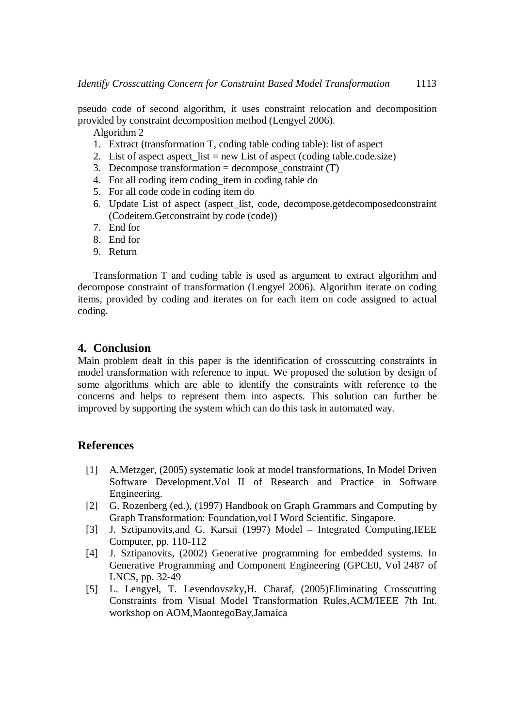pseudo code of second algorithm, it uses constraint relocation and decomposition provided by constraint decomposition method (Lengyel 2006).

Algorithm 2

- 1. Extract (transformation T, coding table coding table): list of aspect
- 2. List of aspect aspect  $list = new List of aspect (coding table.code.size)$
- 3. Decompose transformation = decompose constraint  $(T)$
- 4. For all coding item coding\_item in coding table do
- 5. For all code code in coding item do
- 6. Update List of aspect (aspect\_list, code, decompose.getdecomposedconstraint (Codeitem.Getconstraint by code (code))
- 7. End for
- 8. End for
- 9. Return

Transformation T and coding table is used as argument to extract algorithm and decompose constraint of transformation (Lengyel 2006). Algorithm iterate on coding items, provided by coding and iterates on for each item on code assigned to actual coding.

# **4. Conclusion**

Main problem dealt in this paper is the identification of crosscutting constraints in model transformation with reference to input. We proposed the solution by design of some algorithms which are able to identify the constraints with reference to the concerns and helps to represent them into aspects. This solution can further be improved by supporting the system which can do this task in automated way.

### **References**

- [1] A.Metzger, (2005) systematic look at model transformations, In Model Driven Software Development.Vol II of Research and Practice in Software Engineering.
- [2] G. Rozenberg (ed.), (1997) Handbook on Graph Grammars and Computing by Graph Transformation: Foundation,vol I Word Scientific, Singapore.
- [3] J. Sztipanovits,and G. Karsai (1997) Model Integrated Computing,IEEE Computer, pp. 110-112
- [4] J. Sztipanovits, (2002) Generative programming for embedded systems. In Generative Programming and Component Engineering (GPCE0, Vol 2487 of LNCS, pp. 32-49
- [5] L. Lengyel, T. Levendovszky,H. Charaf, (2005)Eliminating Crosscutting Constraints from Visual Model Transformation Rules,ACM/IEEE 7th Int. workshop on AOM,MaontegoBay,Jamaica